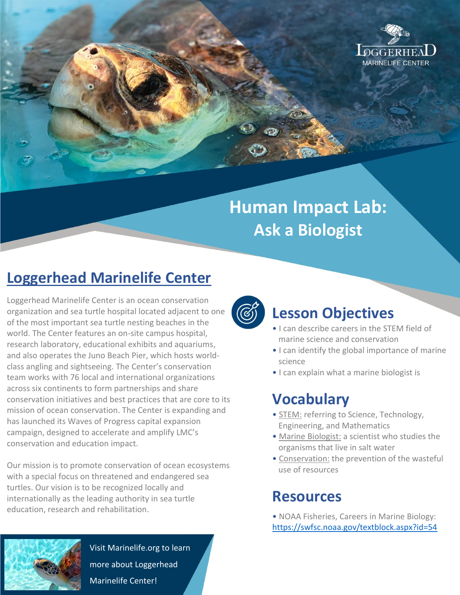

# **Human Impact Lab: Ask a Biologist**

# **Loggerhead Marinelife Center**

Loggerhead Marinelife Center is an ocean conservation organization and sea turtle hospital located adjacent to one of the most important sea turtle nesting beaches in the world. The Center features an on-site campus hospital, research laboratory, educational exhibits and aquariums, and also operates the Juno Beach Pier, which hosts worldclass angling and sightseeing. The Center's conservation team works with 76 local and international organizations across six continents to form partnerships and share conservation initiatives and best practices that are core to its mission of ocean conservation. The Center is expanding and has launched its Waves of Progress capital expansion campaign, designed to accelerate and amplify LMC's conservation and education impact.

Our mission is to promote conservation of ocean ecosystems with a special focus on threatened and endangered sea turtles. Our vision is to be recognized locally and internationally as the leading authority in sea turtle education, research and rehabilitation.



#### **Lesson Objectives**

- I can describe careers in the STEM field of marine science and conservation
- I can identify the global importance of marine science
- I can explain what a marine biologist is

## **Vocabulary**

- STEM: referring to Science, Technology, Engineering, and Mathematics
- Marine Biologist: a scientist who studies the organisms that live in salt water
- Conservation: the prevention of the wasteful use of resources

#### **Resources**

• NOAA Fisheries, Careers in Marine Biology: <https://swfsc.noaa.gov/textblock.aspx?id=54>



Visit Marinelife.org to learn more about Loggerhead Marinelife Center!